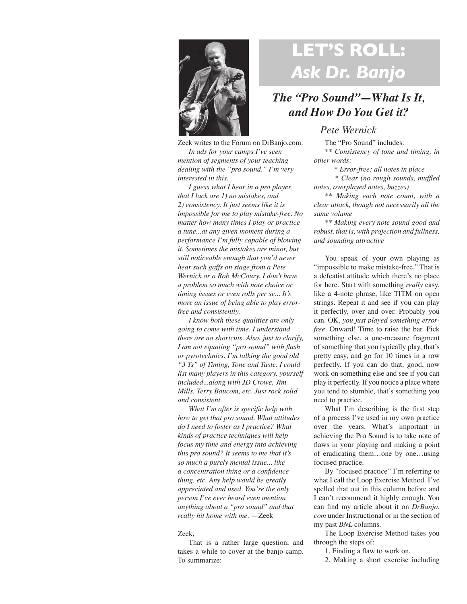

## **LET'S ROLL:**  *Ask Dr. Banjo*

## *The "Pro Sound"—What Is It, and How Do You Get it?*

## *Pete Wernick*

The "Pro Sound" includes: *\*\* Consistency of tone and timing, in other words:*

 *\* Error-free; all notes in place*

 *\* Clear (no rough sounds, muffled notes, overplayed notes, buzzes)*

*\*\* Making each note count, with a clear attack, though not necessarily all the same volume*

*\*\* Making every note sound good and robust, that is, with projection and fullness, and sounding attractive*

You speak of your own playing as "impossible to make mistake-free." That is a defeatist attitude which there's no place for here. Start with something *really* easy, like a 4-note phrase, like TITM on open strings. Repeat it and see if you can play it perfectly, over and over. Probably you can. OK, *you just played something errorfree.* Onward! Time to raise the bar. Pick something else, a one-measure fragment of something that you typically play, that's pretty easy, and go for 10 times in a row perfectly. If you can do that, good, now work on something else and see if you can play it perfectly. If you notice a place where you tend to stumble, that's something you need to practice.

What I'm describing is the first step of a process I've used in my own practice over the years. What's important in achieving the Pro Sound is to take note of flaws in your playing and making a point of eradicating them…one by one…using focused practice.

By "focused practice" I'm referring to what I call the Loop Exercise Method. I've spelled that out in this column before and I can't recommend it highly enough. You can find my article about it on *DrBanjo. com* under Instructional or in the section of my past *BNL* columns.

The Loop Exercise Method takes you through the steps of:

1. Finding a flaw to work on.

2. Making a short exercise including

Zeek writes to the Forum on DrBanjo.com: *In ads for your camps I've seen mention of segments of your teaching dealing with the "pro sound." I'm very interested in this.*

*I guess what I hear in a pro player that I lack are 1) no mistakes, and 2) consistency. It just seems like it is impossible for me to play mistake-free. No matter how many times I play or practice a tune...at any given moment during a performance I'm fully capable of blowing it. Sometimes the mistakes are minor, but still noticeable enough that you'd never hear such gaffs on stage from a Pete Wernick or a Rob McCoury. I don't have a problem so much with note choice or timing issues or even rolls per se... It's more an issue of being able to play errorfree and consistently.*

*I know both these qualities are only going to come with time. I understand there are no shortcuts. Also, just to clarify, I am not equating "pro sound" with flash or pyrotechnics. I'm talking the good old "3 Ts" of Timing, Tone and Taste. I could list many players in this category, yourself included...along with JD Crowe, Jim Mills, Terry Baucom, etc. Just rock solid and consistent.*

*What I'm after is specific help with how to get that pro sound. What attitudes do I need to foster as I practice? What kinds of practice techniques will help focus my time and energy into achieving this pro sound? It seems to me that it's so much a purely mental issue... like a concentration thing or a confidence thing, etc. Any help would be greatly appreciated and used. You're the only person I've ever heard even mention anything about a "pro sound" and that really hit home with me.* —Zeek

## Zeek,

That is a rather large question, and takes a while to cover at the banjo camp. To summarize: